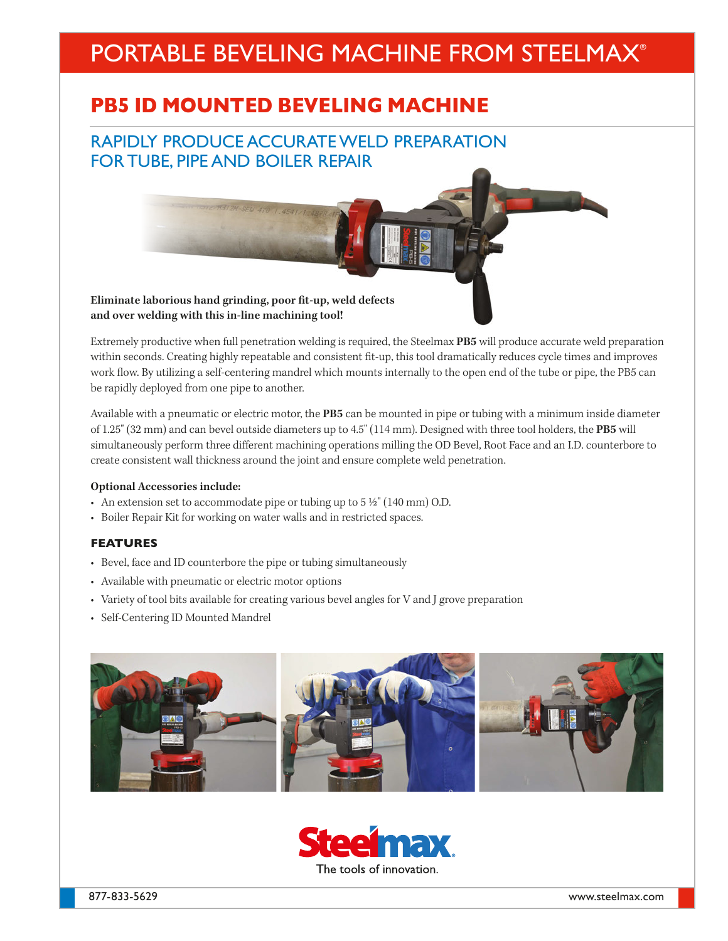# PORTABLE BEVELING MACHINE FROM STEELMAX®

### **PB5 ID MOUNTED BEVELING MACHINE**

### RAPIDLY PRODUCE ACCURATE WELD PREPARATION FOR TUBE, PIPE AND BOILER REPAIR

**Eliminate laborious hand grinding, poor fit-up, weld defects and over welding with this in-line machining tool!**

Extremely productive when full penetration welding is required, the Steelmax **PB5** will produce accurate weld preparation within seconds. Creating highly repeatable and consistent fit-up, this tool dramatically reduces cycle times and improves work flow. By utilizing a self-centering mandrel which mounts internally to the open end of the tube or pipe, the PB5 can be rapidly deployed from one pipe to another.

Available with a pneumatic or electric motor, the **PB5** can be mounted in pipe or tubing with a minimum inside diameter of 1.25" (32 mm) and can bevel outside diameters up to 4.5" (114 mm). Designed with three tool holders, the **PB5** will simultaneously perform three different machining operations milling the OD Bevel, Root Face and an I.D. counterbore to create consistent wall thickness around the joint and ensure complete weld penetration.

#### **Optional Accessories include:**

- An extension set to accommodate pipe or tubing up to  $5\frac{1}{2}$ " (140 mm) O.D.
- Boiler Repair Kit for working on water walls and in restricted spaces.

#### **FEATURES**

- Bevel, face and ID counterbore the pipe or tubing simultaneously
- Available with pneumatic or electric motor options
- Variety of tool bits available for creating various bevel angles for V and J grove preparation
- Self-Centering ID Mounted Mandrel



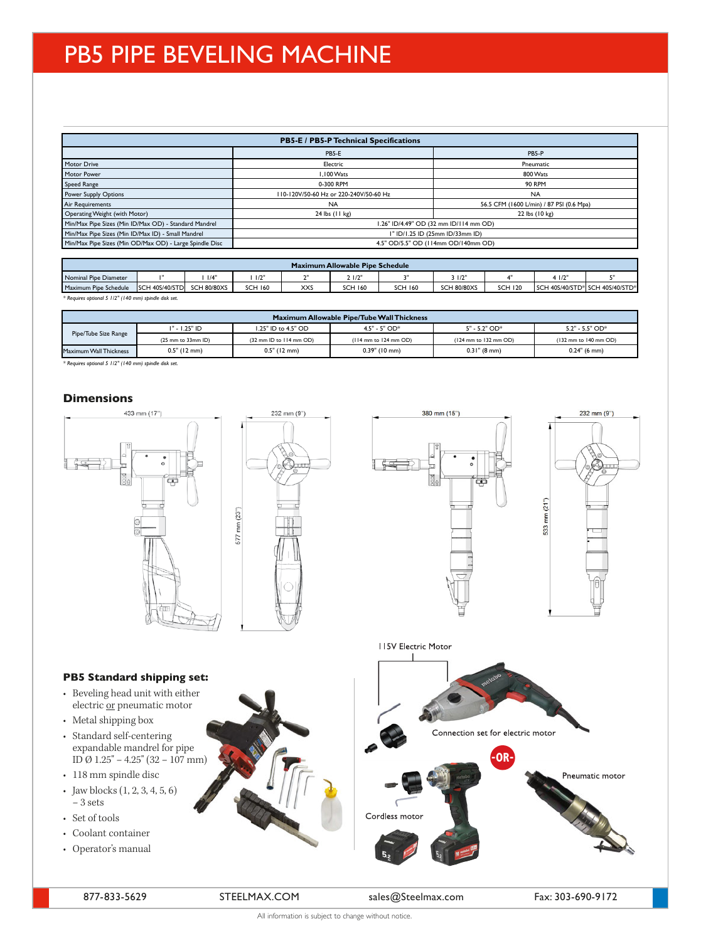# PB5 PIPE BEVELING MACHINE

| <b>PB5-E / PB5-P Technical Specifications</b>           |                                        |                                          |  |  |
|---------------------------------------------------------|----------------------------------------|------------------------------------------|--|--|
|                                                         | PB5-E                                  | PB5-P                                    |  |  |
| Motor Drive                                             | Electric                               | Pneumatic                                |  |  |
| Motor Power                                             | I.100 Wats                             | 800 Wats                                 |  |  |
| <b>Speed Range</b>                                      | 0-300 RPM                              | <b>90 RPM</b>                            |  |  |
| <b>Power Supply Options</b>                             | 110-120V/50-60 Hz or 220-240V/50-60 Hz | <b>NA</b>                                |  |  |
| Air Requirements                                        | <b>NA</b>                              | 56.5 CFM (1600 L/min) / 87 PSI (0.6 Mpa) |  |  |
| Operating Weight (with Motor)                           | 22 lbs (10 kg)<br>24 lbs (11 kg)       |                                          |  |  |
| Min/Max Pipe Sizes (Min ID/Max OD) - Standard Mandrel   | 1.26" ID/4.49" OD (32 mm ID/114 mm OD) |                                          |  |  |
| Min/Max Pipe Sizes (Min ID/Max ID) - Small Mandrel      | I" ID/I.25 ID (25mm ID/33mm ID)        |                                          |  |  |
| Min/Max Pipe Sizes (Min OD/Max OD) - Large Spindle Disc | 4.5" OD/5.5" OD (114mm OD/140mm OD)    |                                          |  |  |

| Maximum Allowable Pipe Schedule                       |                        |                    |                |            |                |                |                    |                |                                  |  |
|-------------------------------------------------------|------------------------|--------------------|----------------|------------|----------------|----------------|--------------------|----------------|----------------------------------|--|
| Nominal Pipe Diameter                                 |                        | 1/4"               | 1/2"           |            | 2 1/2"         |                | 31/2"              |                | 41/2"                            |  |
| Maximum Pipe Schedule                                 | <b>ISCH 40S/40/STD</b> | <b>SCH 80/80XS</b> | <b>SCH 160</b> | <b>XXS</b> | <b>SCH 160</b> | <b>SCH 160</b> | <b>SCH 80/80XS</b> | <b>SCH 120</b> | ISCH 40S/40/STD*ISCH 40S/40/STD* |  |
| * Requires optional 5 1/2" (140 mm) spindle disk set. |                        |                    |                |            |                |                |                    |                |                                  |  |

| Maximum Allowable Pipe/Tube Wall Thickness |                                        |                         |                                          |                                          |                                          |  |  |
|--------------------------------------------|----------------------------------------|-------------------------|------------------------------------------|------------------------------------------|------------------------------------------|--|--|
| Pipe/Tube Size Range                       | $I'' - I.25" ID$                       | 1.25" ID to 4.5" OD     | $4.5" - 5"$ OD*                          | $5" - 5.2"$ OD*                          | $5.2" - 5.5"$ OD*                        |  |  |
|                                            | $(25 \text{ mm to } 33 \text{ mm ID})$ | (32 mm ID to 114 mm OD) | $(114 \text{ mm to } 124 \text{ mm OD})$ | $(124 \text{ mm to } 132 \text{ mm OD})$ | $(132 \text{ mm to } 140 \text{ mm OD})$ |  |  |
| Maximum Wall Thickness                     | $0.5"$ (12 mm)                         | $0.5"$ (12 mm)          | $0.39"$ (10 mm)                          | $0.31$ " (8 mm)                          | $0.24$ " (6 mm)                          |  |  |

*\* Requires optional 5 1/2" (140 mm) spindle disk set.*

#### **Dimensions**

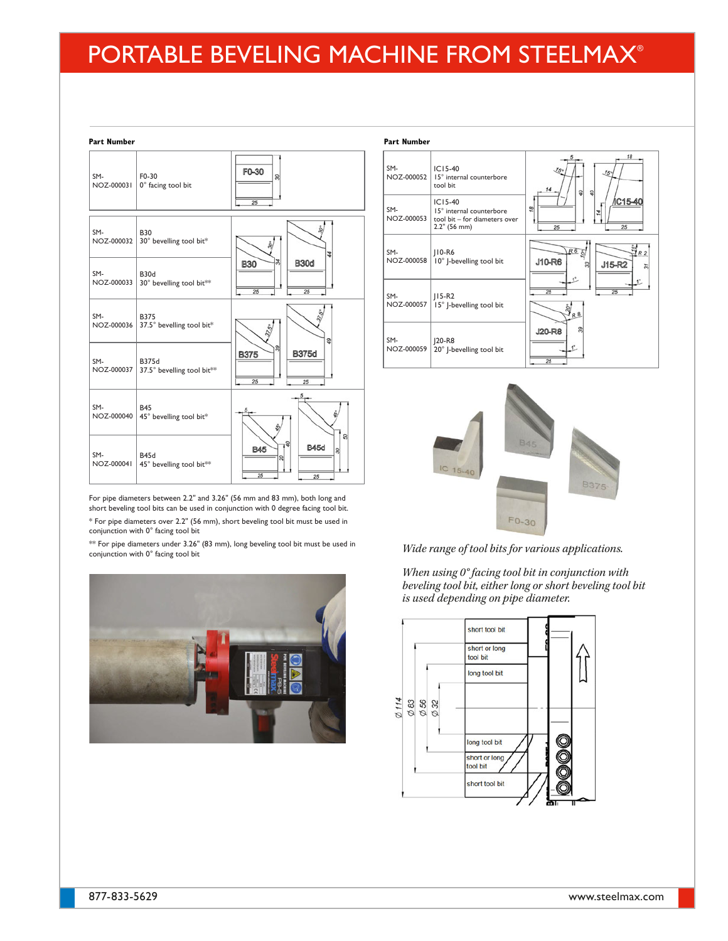# PORTABLE BEVELING MACHINE FROM STEELMAX®



For pipe diameters between 2.2" and 3.26" (56 mm and 83 mm), both long and short beveling tool bits can be used in conjunction with 0 degree facing tool bit. \* For pipe diameters over 2.2" (56 mm), short beveling tool bit must be used in conjunction with 0° facing tool bit

\*\* For pipe diameters under 3.26" (83 mm), long beveling tool bit must be used in conjunction with 0° facing tool bit



#### 18 IC15-40 SM<sub>-</sub> NOZ-000052 15° internal counterbore tool bit IC15-40 SM-15° internal counterbore tool bit – for diameters over 2.2" (56 mm) NOZ-000053  $R6$ SM- $R<sub>2</sub>$ J10-R6 10° J-bevelling tool bit NOZ-000058 J10-R6 J15-R2 SM-J15-R2 15° J-bevelling tool bit NOZ-000057 **J20-R8** SM-J20-R8 20° J-bevelling tool bit NOZ-000059



*Wide range of tool bits for various applications.*

*When using 0° facing tool bit in conjunction with beveling tool bit, either long or short beveling tool bit is used depending on pipe diameter.*